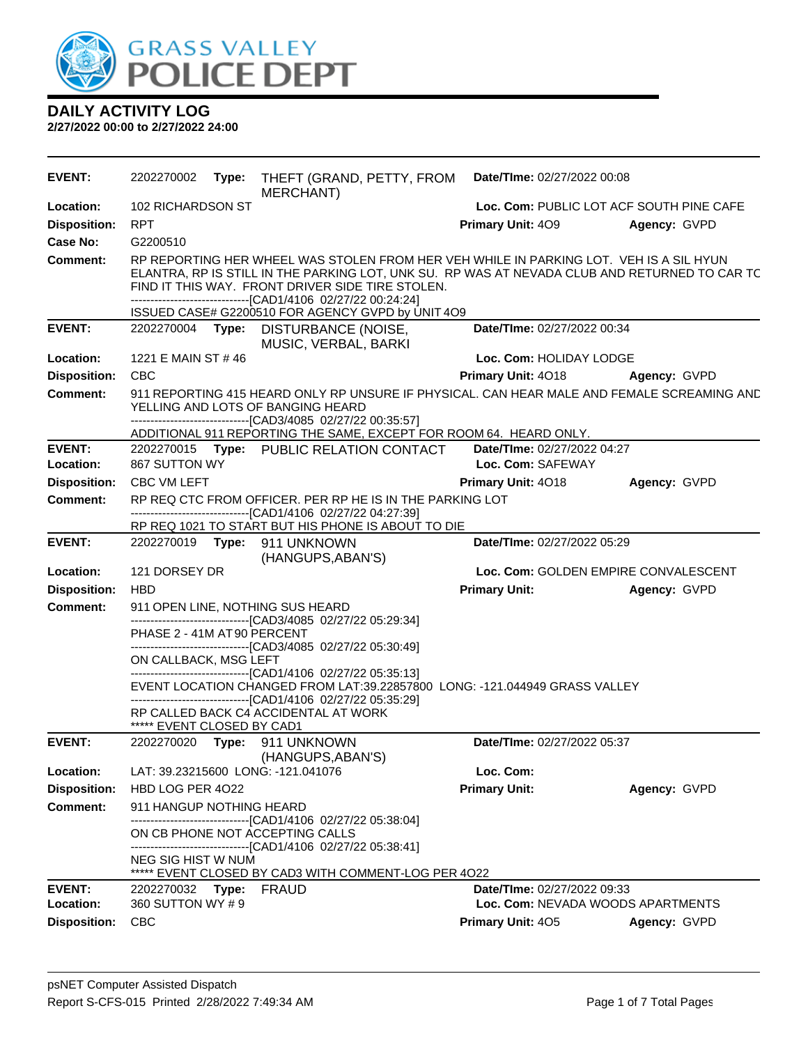

| <b>EVENT:</b>       | 2202270002                  | Type: | THEFT (GRAND, PETTY, FROM<br><b>MERCHANT)</b>                                                                                                                                                                                                                                                               | Date/TIme: 02/27/2022 00:08              |              |
|---------------------|-----------------------------|-------|-------------------------------------------------------------------------------------------------------------------------------------------------------------------------------------------------------------------------------------------------------------------------------------------------------------|------------------------------------------|--------------|
| Location:           | 102 RICHARDSON ST           |       |                                                                                                                                                                                                                                                                                                             | Loc. Com: PUBLIC LOT ACF SOUTH PINE CAFE |              |
| <b>Disposition:</b> | <b>RPT</b>                  |       |                                                                                                                                                                                                                                                                                                             | Primary Unit: 409                        | Agency: GVPD |
| Case No:            | G2200510                    |       |                                                                                                                                                                                                                                                                                                             |                                          |              |
| Comment:            |                             |       | RP REPORTING HER WHEEL WAS STOLEN FROM HER VEH WHILE IN PARKING LOT. VEH IS A SIL HYUN<br>ELANTRA, RP IS STILL IN THE PARKING LOT, UNK SU. RP WAS AT NEVADA CLUB AND RETURNED TO CAR TC<br>FIND IT THIS WAY. FRONT DRIVER SIDE TIRE STOLEN.<br>-------------------------------[CAD1/4106 02/27/22 00:24:24] |                                          |              |
| <b>EVENT:</b>       |                             |       | ISSUED CASE# G2200510 FOR AGENCY GVPD by UNIT 4O9<br>2202270004 Type: DISTURBANCE (NOISE,                                                                                                                                                                                                                   | Date/TIme: 02/27/2022 00:34              |              |
|                     |                             |       | MUSIC, VERBAL, BARKI                                                                                                                                                                                                                                                                                        |                                          |              |
| Location:           | 1221 E MAIN ST #46          |       |                                                                                                                                                                                                                                                                                                             | Loc. Com: HOLIDAY LODGE                  |              |
| <b>Disposition:</b> | <b>CBC</b>                  |       |                                                                                                                                                                                                                                                                                                             | Primary Unit: 4018                       | Agency: GVPD |
| <b>Comment:</b>     |                             |       | 911 REPORTING 415 HEARD ONLY RP UNSURE IF PHYSICAL. CAN HEAR MALE AND FEMALE SCREAMING AND<br>YELLING AND LOTS OF BANGING HEARD<br>-------------------------------[CAD3/4085 02/27/22 00:35:57]                                                                                                             |                                          |              |
|                     |                             |       | ADDITIONAL 911 REPORTING THE SAME, EXCEPT FOR ROOM 64. HEARD ONLY.                                                                                                                                                                                                                                          |                                          |              |
| <b>EVENT:</b>       |                             |       | 2202270015 Type: PUBLIC RELATION CONTACT                                                                                                                                                                                                                                                                    | Date/TIme: 02/27/2022 04:27              |              |
| Location:           | 867 SUTTON WY               |       |                                                                                                                                                                                                                                                                                                             | Loc. Com: SAFEWAY                        |              |
| <b>Disposition:</b> | <b>CBC VM LEFT</b>          |       |                                                                                                                                                                                                                                                                                                             | Primary Unit: 4018                       | Agency: GVPD |
| <b>Comment:</b>     |                             |       | RP REQ CTC FROM OFFICER. PER RP HE IS IN THE PARKING LOT<br>---------------------------------[CAD1/4106 02/27/22 04:27:39]<br>RP REQ 1021 TO START BUT HIS PHONE IS ABOUT TO DIE                                                                                                                            |                                          |              |
| <b>EVENT:</b>       |                             |       | 2202270019    Type: 911    UNKNOWN                                                                                                                                                                                                                                                                          | Date/TIme: 02/27/2022 05:29              |              |
|                     | (HANGUPS, ABAN'S)           |       |                                                                                                                                                                                                                                                                                                             |                                          |              |
| Location:           | 121 DORSEY DR               |       |                                                                                                                                                                                                                                                                                                             | Loc. Com: GOLDEN EMPIRE CONVALESCENT     |              |
| <b>Disposition:</b> | <b>HBD</b>                  |       |                                                                                                                                                                                                                                                                                                             | <b>Primary Unit:</b>                     | Agency: GVPD |
| <b>Comment:</b>     |                             |       | 911 OPEN LINE, NOTHING SUS HEARD<br>-------------------------------[CAD3/4085 02/27/22 05:29:34]                                                                                                                                                                                                            |                                          |              |
|                     | PHASE 2 - 41M AT 90 PERCENT |       |                                                                                                                                                                                                                                                                                                             |                                          |              |
|                     | ON CALLBACK, MSG LEFT       |       | -------------------------------[CAD3/4085 02/27/22 05:30:49]                                                                                                                                                                                                                                                |                                          |              |
|                     |                             |       | -------------------------------[CAD1/4106 02/27/22 05:35:13]<br>EVENT LOCATION CHANGED FROM LAT:39.22857800 LONG: -121.044949 GRASS VALLEY<br>-------------------------------[CAD1/4106 02/27/22 05:35:29]                                                                                                  |                                          |              |
|                     | ***** EVENT CLOSED BY CAD1  |       | RP CALLED BACK C4 ACCIDENTAL AT WORK                                                                                                                                                                                                                                                                        |                                          |              |
| <b>EVENT:</b>       |                             |       | 2202270020 Type: 911 UNKNOWN<br>(HANGUPS, ABAN'S)                                                                                                                                                                                                                                                           | Date/TIme: 02/27/2022 05:37              |              |
| Location:           |                             |       | LAT: 39.23215600 LONG: -121.041076                                                                                                                                                                                                                                                                          | Loc. Com:                                |              |
| <b>Disposition:</b> | HBD LOG PER 4022            |       |                                                                                                                                                                                                                                                                                                             | <b>Primary Unit:</b>                     | Agency: GVPD |
| <b>Comment:</b>     | 911 HANGUP NOTHING HEARD    |       |                                                                                                                                                                                                                                                                                                             |                                          |              |
|                     |                             |       | -------------------------------[CAD1/4106 02/27/22 05:38:04]<br>ON CB PHONE NOT ACCEPTING CALLS<br>--------------------------------[CAD1/4106_02/27/22 05:38:41]                                                                                                                                            |                                          |              |
|                     | NEG SIG HIST W NUM          |       | ***** EVENT CLOSED BY CAD3 WITH COMMENT-LOG PER 4022                                                                                                                                                                                                                                                        |                                          |              |
| <b>EVENT:</b>       | 2202270032                  | Type: | <b>FRAUD</b>                                                                                                                                                                                                                                                                                                | Date/TIme: 02/27/2022 09:33              |              |
| Location:           | 360 SUTTON WY #9            |       |                                                                                                                                                                                                                                                                                                             | Loc. Com: NEVADA WOODS APARTMENTS        |              |
| <b>Disposition:</b> | <b>CBC</b>                  |       |                                                                                                                                                                                                                                                                                                             | Primary Unit: 405                        | Agency: GVPD |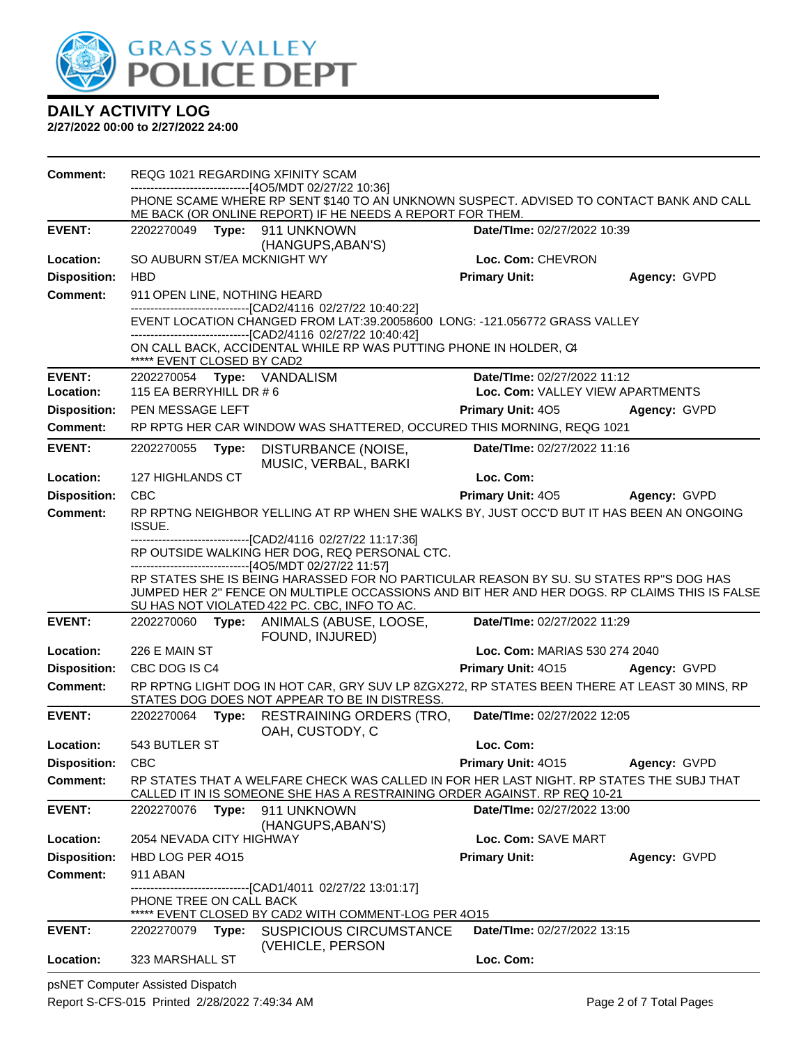

**2/27/2022 00:00 to 2/27/2022 24:00**

| Comment:            |                                                                                                                                                                                        |       | REQG 1021 REGARDING XFINITY SCAM                                                                                                                                      |                                    |              |  |
|---------------------|----------------------------------------------------------------------------------------------------------------------------------------------------------------------------------------|-------|-----------------------------------------------------------------------------------------------------------------------------------------------------------------------|------------------------------------|--------------|--|
|                     |                                                                                                                                                                                        |       | ------------------------[4O5/MDT 02/27/22 10:36]<br>PHONE SCAME WHERE RP SENT \$140 TO AN UNKNOWN SUSPECT. ADVISED TO CONTACT BANK AND CALL                           |                                    |              |  |
|                     |                                                                                                                                                                                        |       | ME BACK (OR ONLINE REPORT) IF HE NEEDS A REPORT FOR THEM.                                                                                                             |                                    |              |  |
| <b>EVENT:</b>       | 2202270049 Type:                                                                                                                                                                       |       | 911 UNKNOWN<br>(HANGUPS, ABAN'S)                                                                                                                                      | Date/TIme: 02/27/2022 10:39        |              |  |
| Location:           | SO AUBURN ST/EA MCKNIGHT WY                                                                                                                                                            |       |                                                                                                                                                                       | Loc. Com: CHEVRON                  |              |  |
| <b>Disposition:</b> | <b>HBD</b>                                                                                                                                                                             |       |                                                                                                                                                                       | <b>Primary Unit:</b>               | Agency: GVPD |  |
| <b>Comment:</b>     | 911 OPEN LINE, NOTHING HEARD                                                                                                                                                           |       |                                                                                                                                                                       |                                    |              |  |
|                     |                                                                                                                                                                                        |       | ------------------------------[CAD2/4116 02/27/22 10:40:22]<br>EVENT LOCATION CHANGED FROM LAT:39.20058600 LONG: -121.056772 GRASS VALLEY                             |                                    |              |  |
|                     |                                                                                                                                                                                        |       | -------------------------------[CAD2/4116 02/27/22 10:40:42]                                                                                                          |                                    |              |  |
|                     | ***** EVENT CLOSED BY CAD2                                                                                                                                                             |       | ON CALL BACK, ACCIDENTAL WHILE RP WAS PUTTING PHONE IN HOLDER, C4                                                                                                     |                                    |              |  |
| <b>EVENT:</b>       |                                                                                                                                                                                        |       | 2202270054 Type: VANDALISM                                                                                                                                            | Date/TIme: 02/27/2022 11:12        |              |  |
| Location:           | 115 EA BERRYHILL DR # 6                                                                                                                                                                |       |                                                                                                                                                                       | Loc. Com: VALLEY VIEW APARTMENTS   |              |  |
| <b>Disposition:</b> | PEN MESSAGE LEFT                                                                                                                                                                       |       |                                                                                                                                                                       | <b>Primary Unit: 405</b>           | Agency: GVPD |  |
| Comment:            |                                                                                                                                                                                        |       | RP RPTG HER CAR WINDOW WAS SHATTERED, OCCURED THIS MORNING, REQG 1021                                                                                                 |                                    |              |  |
| <b>EVENT:</b>       | 2202270055                                                                                                                                                                             | Type: | DISTURBANCE (NOISE,<br>MUSIC, VERBAL, BARKI                                                                                                                           | Date/TIme: 02/27/2022 11:16        |              |  |
| Location:           | 127 HIGHLANDS CT                                                                                                                                                                       |       |                                                                                                                                                                       | Loc. Com:                          |              |  |
| <b>Disposition:</b> | <b>CBC</b>                                                                                                                                                                             |       |                                                                                                                                                                       | <b>Primary Unit: 405</b>           | Agency: GVPD |  |
| <b>Comment:</b>     | <b>ISSUE.</b>                                                                                                                                                                          |       | RP RPTNG NEIGHBOR YELLING AT RP WHEN SHE WALKS BY, JUST OCC'D BUT IT HAS BEEN AN ONGOING                                                                              |                                    |              |  |
|                     |                                                                                                                                                                                        |       | -------------------------------[CAD2/4116 02/27/22 11:17:36]                                                                                                          |                                    |              |  |
|                     | RP OUTSIDE WALKING HER DOG, REQ PERSONAL CTC.<br>-------------------------------[4O5/MDT 02/27/22 11:57]                                                                               |       |                                                                                                                                                                       |                                    |              |  |
|                     | RP STATES SHE IS BEING HARASSED FOR NO PARTICULAR REASON BY SU. SU STATES RP"S DOG HAS<br>JUMPED HER 2" FENCE ON MULTIPLE OCCASSIONS AND BIT HER AND HER DOGS. RP CLAIMS THIS IS FALSE |       |                                                                                                                                                                       |                                    |              |  |
|                     |                                                                                                                                                                                        |       | SU HAS NOT VIOLATED 422 PC. CBC, INFO TO AC.                                                                                                                          |                                    |              |  |
| <b>EVENT:</b>       | 2202270060                                                                                                                                                                             |       | Type: ANIMALS (ABUSE, LOOSE,<br>FOUND, INJURED)                                                                                                                       | Date/TIme: 02/27/2022 11:29        |              |  |
| Location:           | 226 E MAIN ST                                                                                                                                                                          |       |                                                                                                                                                                       | Loc. Com: MARIAS 530 274 2040      |              |  |
| <b>Disposition:</b> | CBC DOG IS C4                                                                                                                                                                          |       |                                                                                                                                                                       | Primary Unit: 4015 Agency: GVPD    |              |  |
| <b>Comment:</b>     |                                                                                                                                                                                        |       | RP RPTNG LIGHT DOG IN HOT CAR, GRY SUV LP 8ZGX272, RP STATES BEEN THERE AT LEAST 30 MINS, RP<br>STATES DOG DOES NOT APPEAR TO BE IN DISTRESS.                         |                                    |              |  |
| <b>EVENT:</b>       | 2202270064                                                                                                                                                                             | Type: | <b>RESTRAINING ORDERS (TRO,</b><br>OAH, CUSTODY, C                                                                                                                    | Date/TIme: 02/27/2022 12:05        |              |  |
| Location:           | 543 BUTLER ST                                                                                                                                                                          |       |                                                                                                                                                                       | Loc. Com:                          |              |  |
| <b>Disposition:</b> | <b>CBC</b>                                                                                                                                                                             |       |                                                                                                                                                                       | Primary Unit: 4015                 | Agency: GVPD |  |
| <b>Comment:</b>     |                                                                                                                                                                                        |       | RP STATES THAT A WELFARE CHECK WAS CALLED IN FOR HER LAST NIGHT. RP STATES THE SUBJ THAT<br>CALLED IT IN IS SOMEONE SHE HAS A RESTRAINING ORDER AGAINST. RP REQ 10-21 |                                    |              |  |
| <b>EVENT:</b>       | 2202270076                                                                                                                                                                             |       | <b>Type:</b> 911 UNKNOWN                                                                                                                                              | Date/TIme: 02/27/2022 13:00        |              |  |
| Location:           | 2054 NEVADA CITY HIGHWAY                                                                                                                                                               |       | (HANGUPS, ABAN'S)                                                                                                                                                     | Loc. Com: SAVE MART                |              |  |
| <b>Disposition:</b> | HBD LOG PER 4015                                                                                                                                                                       |       |                                                                                                                                                                       | <b>Primary Unit:</b>               | Agency: GVPD |  |
| <b>Comment:</b>     | 911 ABAN                                                                                                                                                                               |       |                                                                                                                                                                       |                                    |              |  |
|                     |                                                                                                                                                                                        |       | ---------------[CAD1/4011 02/27/22 13:01:17]                                                                                                                          |                                    |              |  |
|                     | PHONE TREE ON CALL BACK                                                                                                                                                                |       |                                                                                                                                                                       |                                    |              |  |
| <b>EVENT:</b>       | 2202270079                                                                                                                                                                             |       | EVENT CLOSED BY CAD2 WITH COMMENT-LOG PER 4015<br><b>SUSPICIOUS CIRCUMSTANCE</b>                                                                                      | <b>Date/Time: 02/27/2022 13:15</b> |              |  |
|                     |                                                                                                                                                                                        |       |                                                                                                                                                                       |                                    |              |  |
|                     |                                                                                                                                                                                        | Type: | (VEHICLE, PERSON                                                                                                                                                      |                                    |              |  |

psNET Computer Assisted Dispatch Report S-CFS-015 Printed 2/28/2022 7:49:34 AM Page 2 of 7 Total Pages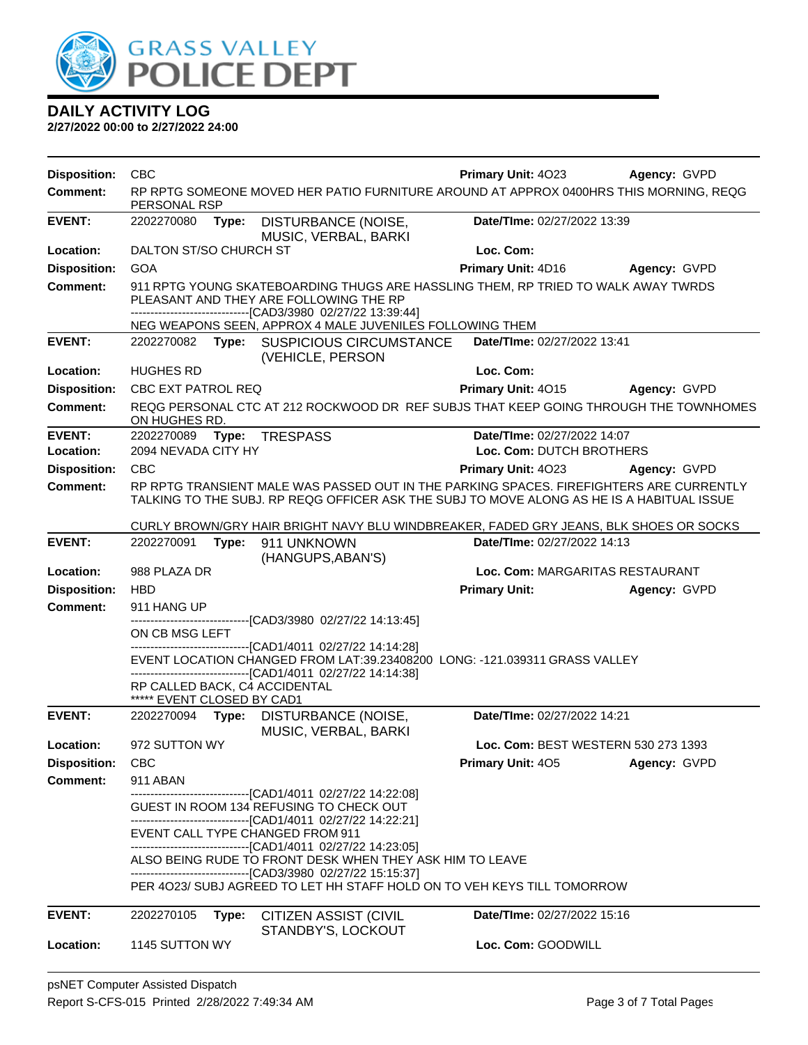

| <b>Disposition:</b>        | <b>CBC</b>                                                                                                                                                                                      |                                                                                                                                                                                       | Primary Unit: 4023                                      | Agency: GVPD |
|----------------------------|-------------------------------------------------------------------------------------------------------------------------------------------------------------------------------------------------|---------------------------------------------------------------------------------------------------------------------------------------------------------------------------------------|---------------------------------------------------------|--------------|
| <b>Comment:</b>            | PERSONAL RSP                                                                                                                                                                                    | RP RPTG SOMEONE MOVED HER PATIO FURNITURE AROUND AT APPROX 0400HRS THIS MORNING, REQG                                                                                                 |                                                         |              |
| <b>EVENT:</b>              | 2202270080<br>Type:                                                                                                                                                                             | DISTURBANCE (NOISE,<br>MUSIC, VERBAL, BARKI                                                                                                                                           | Date/TIme: 02/27/2022 13:39                             |              |
| Location:                  | DALTON ST/SO CHURCH ST                                                                                                                                                                          |                                                                                                                                                                                       | Loc. Com:                                               |              |
| <b>Disposition:</b>        | <b>GOA</b>                                                                                                                                                                                      |                                                                                                                                                                                       | Primary Unit: 4D16                                      | Agency: GVPD |
| <b>Comment:</b>            |                                                                                                                                                                                                 | 911 RPTG YOUNG SKATEBOARDING THUGS ARE HASSLING THEM, RP TRIED TO WALK AWAY TWRDS<br>PLEASANT AND THEY ARE FOLLOWING THE RP<br>-------------------------[CAD3/3980_02/27/22 13:39:44] |                                                         |              |
|                            |                                                                                                                                                                                                 | NEG WEAPONS SEEN, APPROX 4 MALE JUVENILES FOLLOWING THEM                                                                                                                              |                                                         |              |
| <b>EVENT:</b>              | 2202270082 Type:                                                                                                                                                                                | SUSPICIOUS CIRCUMSTANCE<br>(VEHICLE, PERSON                                                                                                                                           | Date/TIme: 02/27/2022 13:41                             |              |
| Location:                  | <b>HUGHES RD</b>                                                                                                                                                                                |                                                                                                                                                                                       | Loc. Com:                                               |              |
| <b>Disposition:</b>        | CBC EXT PATROL REQ                                                                                                                                                                              |                                                                                                                                                                                       | Primary Unit: 4015                                      | Agency: GVPD |
| Comment:                   | ON HUGHES RD.                                                                                                                                                                                   | REQG PERSONAL CTC AT 212 ROCKWOOD DR REF SUBJS THAT KEEP GOING THROUGH THE TOWNHOMES                                                                                                  |                                                         |              |
| <b>EVENT:</b><br>Location: | 2202270089<br>2094 NEVADA CITY HY                                                                                                                                                               | Type: TRESPASS                                                                                                                                                                        | Date/TIme: 02/27/2022 14:07<br>Loc. Com: DUTCH BROTHERS |              |
| <b>Disposition:</b>        | <b>CBC</b>                                                                                                                                                                                      |                                                                                                                                                                                       | Primary Unit: 4023                                      | Agency: GVPD |
| Comment:                   |                                                                                                                                                                                                 | RP RPTG TRANSIENT MALE WAS PASSED OUT IN THE PARKING SPACES. FIREFIGHTERS ARE CURRENTLY                                                                                               |                                                         |              |
|                            |                                                                                                                                                                                                 | TALKING TO THE SUBJ. RP REQG OFFICER ASK THE SUBJ TO MOVE ALONG AS HE IS A HABITUAL ISSUE                                                                                             |                                                         |              |
|                            |                                                                                                                                                                                                 | CURLY BROWN/GRY HAIR BRIGHT NAVY BLU WINDBREAKER, FADED GRY JEANS, BLK SHOES OR SOCKS                                                                                                 |                                                         |              |
| <b>EVENT:</b>              | 2202270091<br>Type:                                                                                                                                                                             | 911 UNKNOWN<br>(HANGUPS, ABAN'S)                                                                                                                                                      | Date/TIme: 02/27/2022 14:13                             |              |
| Location:                  | 988 PLAZA DR                                                                                                                                                                                    |                                                                                                                                                                                       | Loc. Com: MARGARITAS RESTAURANT                         |              |
| <b>Disposition:</b>        | <b>HBD</b>                                                                                                                                                                                      |                                                                                                                                                                                       | <b>Primary Unit:</b>                                    | Agency: GVPD |
| <b>Comment:</b>            | 911 HANG UP                                                                                                                                                                                     | -------------------------------[CAD3/3980 02/27/22 14:13:45]                                                                                                                          |                                                         |              |
|                            | ON CB MSG LEFT                                                                                                                                                                                  |                                                                                                                                                                                       |                                                         |              |
|                            | --------------------------------[CAD1/4011 02/27/22 14:14:28]<br>EVENT LOCATION CHANGED FROM LAT:39.23408200 LONG: -121.039311 GRASS VALLEY<br>-------------------[CAD1/4011_02/27/22_14:14:38] |                                                                                                                                                                                       |                                                         |              |
|                            | RP CALLED BACK, C4 ACCIDENTAL                                                                                                                                                                   |                                                                                                                                                                                       |                                                         |              |
|                            | ***** EVENT CLOSED BY CAD1                                                                                                                                                                      |                                                                                                                                                                                       |                                                         |              |
| <b>EVENT:</b>              | 2202270094                                                                                                                                                                                      | Type: DISTURBANCE (NOISE,<br>MUSIC, VERBAL, BARKI                                                                                                                                     | Date/TIme: 02/27/2022 14:21                             |              |
| Location:                  | 972 SUTTON WY                                                                                                                                                                                   |                                                                                                                                                                                       | Loc. Com: BEST WESTERN 530 273 1393                     |              |
| <b>Disposition:</b>        | <b>CBC</b>                                                                                                                                                                                      |                                                                                                                                                                                       | Primary Unit: 405                                       | Agency: GVPD |
| <b>Comment:</b>            | 911 ABAN                                                                                                                                                                                        | -------------------------------[CAD1/4011 02/27/22 14:22:08]                                                                                                                          |                                                         |              |
|                            |                                                                                                                                                                                                 | GUEST IN ROOM 134 REFUSING TO CHECK OUT<br>------------------------------[CAD1/4011_02/27/22 14:22:21]                                                                                |                                                         |              |
|                            | EVENT CALL TYPE CHANGED FROM 911                                                                                                                                                                |                                                                                                                                                                                       |                                                         |              |
|                            |                                                                                                                                                                                                 | -------------------------------[CAD1/4011 02/27/22 14:23:05]<br>ALSO BEING RUDE TO FRONT DESK WHEN THEY ASK HIM TO LEAVE                                                              |                                                         |              |
|                            |                                                                                                                                                                                                 | -------------------------------[CAD3/3980 02/27/22 15:15:37]                                                                                                                          |                                                         |              |
|                            |                                                                                                                                                                                                 | PER 4023/ SUBJ AGREED TO LET HH STAFF HOLD ON TO VEH KEYS TILL TOMORROW                                                                                                               |                                                         |              |
| <b>EVENT:</b>              | 2202270105<br>Type:                                                                                                                                                                             | CITIZEN ASSIST (CIVIL                                                                                                                                                                 | Date/TIme: 02/27/2022 15:16                             |              |
| Location:                  | 1145 SUTTON WY                                                                                                                                                                                  | STANDBY'S, LOCKOUT                                                                                                                                                                    | Loc. Com: GOODWILL                                      |              |
|                            |                                                                                                                                                                                                 |                                                                                                                                                                                       |                                                         |              |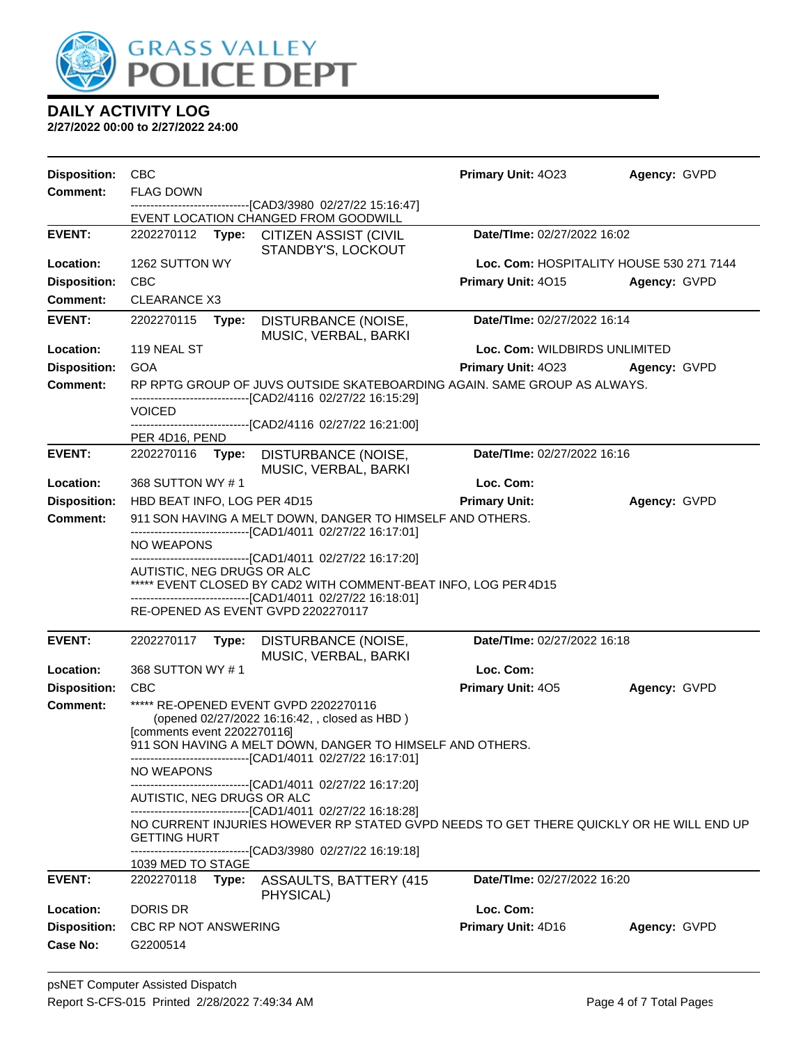

| <b>Disposition:</b> | <b>CBC</b>                                                                                                                                                    |                                                                                                 | Primary Unit: 4023                       | Agency: GVPD |  |
|---------------------|---------------------------------------------------------------------------------------------------------------------------------------------------------------|-------------------------------------------------------------------------------------------------|------------------------------------------|--------------|--|
| <b>Comment:</b>     | <b>FLAG DOWN</b>                                                                                                                                              |                                                                                                 |                                          |              |  |
|                     |                                                                                                                                                               | --------------------------[CAD3/3980_02/27/22 15:16:47]<br>EVENT LOCATION CHANGED FROM GOODWILL |                                          |              |  |
| <b>EVENT:</b>       | 2202270112 Type:                                                                                                                                              | <b>CITIZEN ASSIST (CIVIL</b><br>STANDBY'S, LOCKOUT                                              | Date/TIme: 02/27/2022 16:02              |              |  |
| Location:           | 1262 SUTTON WY                                                                                                                                                |                                                                                                 | Loc. Com: HOSPITALITY HOUSE 530 271 7144 |              |  |
| <b>Disposition:</b> | <b>CBC</b>                                                                                                                                                    |                                                                                                 | Primary Unit: 4015                       | Agency: GVPD |  |
| <b>Comment:</b>     | <b>CLEARANCE X3</b>                                                                                                                                           |                                                                                                 |                                          |              |  |
| <b>EVENT:</b>       | Date/TIme: 02/27/2022 16:14<br>2202270115<br>DISTURBANCE (NOISE,<br>Type:<br>MUSIC, VERBAL, BARKI                                                             |                                                                                                 |                                          |              |  |
| Location:           | 119 NEAL ST                                                                                                                                                   |                                                                                                 | Loc. Com: WILDBIRDS UNLIMITED            |              |  |
| <b>Disposition:</b> | <b>GOA</b>                                                                                                                                                    |                                                                                                 | Primary Unit: 4023                       | Agency: GVPD |  |
| <b>Comment:</b>     |                                                                                                                                                               | RP RPTG GROUP OF JUVS OUTSIDE SKATEBOARDING AGAIN. SAME GROUP AS ALWAYS.                        |                                          |              |  |
|                     | <b>VOICED</b>                                                                                                                                                 | ----------------------[CAD2/4116 02/27/22 16:15:29]                                             |                                          |              |  |
|                     |                                                                                                                                                               | ----------------[CAD2/4116_02/27/22_16:21:00]                                                   |                                          |              |  |
|                     | PER 4D16, PEND                                                                                                                                                |                                                                                                 |                                          |              |  |
| <b>EVENT:</b>       | 2202270116<br>Type:                                                                                                                                           | DISTURBANCE (NOISE,<br>MUSIC, VERBAL, BARKI                                                     | Date/TIme: 02/27/2022 16:16              |              |  |
| Location:           | 368 SUTTON WY #1                                                                                                                                              |                                                                                                 | Loc. Com:                                |              |  |
| <b>Disposition:</b> | HBD BEAT INFO, LOG PER 4D15                                                                                                                                   |                                                                                                 | <b>Primary Unit:</b>                     | Agency: GVPD |  |
| <b>Comment:</b>     | 911 SON HAVING A MELT DOWN, DANGER TO HIMSELF AND OTHERS.                                                                                                     |                                                                                                 |                                          |              |  |
|                     | -------------------------------[CAD1/4011 02/27/22 16:17:01]<br><b>NO WEAPONS</b>                                                                             |                                                                                                 |                                          |              |  |
|                     | -------------------------------[CAD1/4011 02/27/22 16:17:20]<br>AUTISTIC, NEG DRUGS OR ALC<br>***** EVENT CLOSED BY CAD2 WITH COMMENT-BEAT INFO, LOG PER 4D15 |                                                                                                 |                                          |              |  |
|                     |                                                                                                                                                               | -------------------------------[CAD1/4011 02/27/22 16:18:01]                                    |                                          |              |  |
|                     | RE-OPENED AS EVENT GVPD 2202270117                                                                                                                            |                                                                                                 |                                          |              |  |
| <b>EVENT:</b>       | 2202270117<br>Type:                                                                                                                                           | DISTURBANCE (NOISE,<br>MUSIC, VERBAL, BARKI                                                     | Date/TIme: 02/27/2022 16:18              |              |  |
| Location:           | 368 SUTTON WY #1                                                                                                                                              |                                                                                                 | Loc. Com:                                |              |  |
| <b>Disposition:</b> | <b>CBC</b>                                                                                                                                                    |                                                                                                 | Primary Unit: 405                        | Agency: GVPD |  |
| <b>Comment:</b>     | ***** RE-OPENED EVENT GVPD 2202270116                                                                                                                         |                                                                                                 |                                          |              |  |
|                     | (opened 02/27/2022 16:16:42, , closed as HBD)<br>[comments event 2202270116]                                                                                  |                                                                                                 |                                          |              |  |
|                     |                                                                                                                                                               | 911 SON HAVING A MELT DOWN, DANGER TO HIMSELF AND OTHERS.                                       |                                          |              |  |
|                     | NO WEAPONS                                                                                                                                                    | -----------------------------[CAD1/4011_02/27/22 16:17:01]                                      |                                          |              |  |
|                     | AUTISTIC, NEG DRUGS OR ALC                                                                                                                                    | -------------------------------[CAD1/4011 02/27/22 16:17:20]                                    |                                          |              |  |
|                     | -------------------------------[CAD1/4011 02/27/22 16:18:28]                                                                                                  |                                                                                                 |                                          |              |  |
|                     | NO CURRENT INJURIES HOWEVER RP STATED GVPD NEEDS TO GET THERE QUICKLY OR HE WILL END UP<br><b>GETTING HURT</b>                                                |                                                                                                 |                                          |              |  |
|                     |                                                                                                                                                               | ------------------------------[CAD3/3980 02/27/22 16:19:18]                                     |                                          |              |  |
|                     | 1039 MED TO STAGE                                                                                                                                             |                                                                                                 |                                          |              |  |
| <b>EVENT:</b>       | 2202270118<br>Type:                                                                                                                                           | ASSAULTS, BATTERY (415<br>PHYSICAL)                                                             | Date/TIme: 02/27/2022 16:20              |              |  |
| Location:           | <b>DORIS DR</b>                                                                                                                                               |                                                                                                 | Loc. Com:                                |              |  |
| <b>Disposition:</b> | CBC RP NOT ANSWERING                                                                                                                                          |                                                                                                 | Primary Unit: 4D16                       | Agency: GVPD |  |
| Case No:            | G2200514                                                                                                                                                      |                                                                                                 |                                          |              |  |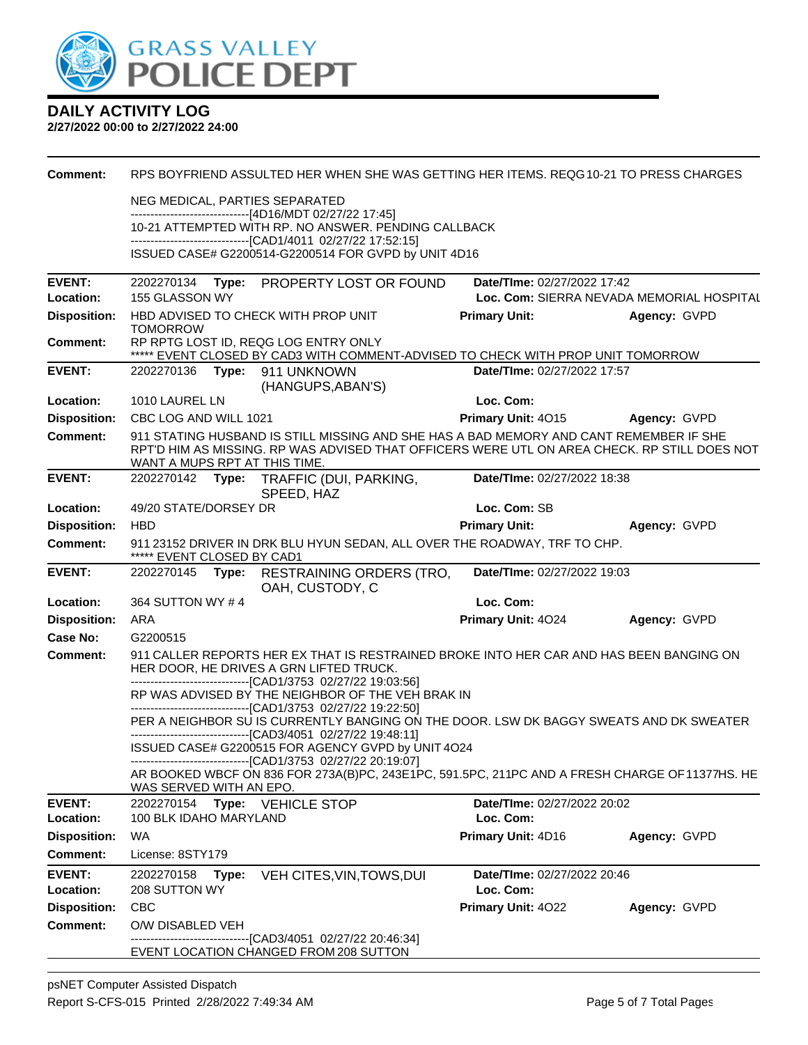

| <b>Comment:</b>                  | RPS BOYFRIEND ASSULTED HER WHEN SHE WAS GETTING HER ITEMS. REQG10-21 TO PRESS CHARGES                                                                                                                                   |                                          |                                                           |  |  |
|----------------------------------|-------------------------------------------------------------------------------------------------------------------------------------------------------------------------------------------------------------------------|------------------------------------------|-----------------------------------------------------------|--|--|
|                                  | NEG MEDICAL, PARTIES SEPARATED                                                                                                                                                                                          |                                          |                                                           |  |  |
|                                  | ------------------------------[4D16/MDT 02/27/22 17:45]<br>10-21 ATTEMPTED WITH RP. NO ANSWER. PENDING CALLBACK<br>---------------------------------[CAD1/4011 02/27/22 17:52:15]                                       |                                          |                                                           |  |  |
|                                  |                                                                                                                                                                                                                         |                                          |                                                           |  |  |
|                                  | ISSUED CASE# G2200514-G2200514 FOR GVPD by UNIT 4D16                                                                                                                                                                    |                                          |                                                           |  |  |
| <b>EVENT:</b>                    | Type: PROPERTY LOST OR FOUND<br>Date/TIme: 02/27/2022 17:42<br>2202270134                                                                                                                                               |                                          |                                                           |  |  |
| Location:<br><b>Disposition:</b> | 155 GLASSON WY<br>HBD ADVISED TO CHECK WITH PROP UNIT                                                                                                                                                                   | <b>Primary Unit:</b>                     | Loc. Com: SIERRA NEVADA MEMORIAL HOSPITAL<br>Agency: GVPD |  |  |
|                                  | <b>TOMORROW</b>                                                                                                                                                                                                         |                                          |                                                           |  |  |
| Comment:                         | RP RPTG LOST ID, REQG LOG ENTRY ONLY<br>***** EVENT CLOSED BY CAD3 WITH COMMENT-ADVISED TO CHECK WITH PROP UNIT TOMORROW                                                                                                |                                          |                                                           |  |  |
| <b>EVENT:</b>                    | 2202270136<br>Type: 911 UNKNOWN<br>(HANGUPS, ABAN'S)                                                                                                                                                                    | Date/TIme: 02/27/2022 17:57              |                                                           |  |  |
| Location:                        | 1010 LAUREL LN                                                                                                                                                                                                          | Loc. Com:                                |                                                           |  |  |
| <b>Disposition:</b>              | CBC LOG AND WILL 1021                                                                                                                                                                                                   | <b>Primary Unit: 4015</b>                | Agency: GVPD                                              |  |  |
| <b>Comment:</b>                  | 911 STATING HUSBAND IS STILL MISSING AND SHE HAS A BAD MEMORY AND CANT REMEMBER IF SHE<br>RPT'D HIM AS MISSING. RP WAS ADVISED THAT OFFICERS WERE UTL ON AREA CHECK. RP STILL DOES NOT<br>WANT A MUPS RPT AT THIS TIME. |                                          |                                                           |  |  |
| <b>EVENT:</b>                    | 2202270142 Type:<br>TRAFFIC (DUI, PARKING,<br>SPEED, HAZ                                                                                                                                                                | Date/TIme: 02/27/2022 18:38              |                                                           |  |  |
| Location:                        | 49/20 STATE/DORSEY DR                                                                                                                                                                                                   | Loc. Com: SB                             |                                                           |  |  |
| <b>Disposition:</b>              | <b>HBD</b>                                                                                                                                                                                                              | <b>Primary Unit:</b>                     | Agency: GVPD                                              |  |  |
| <b>Comment:</b>                  | 911 23152 DRIVER IN DRK BLU HYUN SEDAN, ALL OVER THE ROADWAY, TRF TO CHP.<br>***** EVENT CLOSED BY CAD1                                                                                                                 |                                          |                                                           |  |  |
| <b>EVENT:</b>                    | Date/TIme: 02/27/2022 19:03<br>2202270145 Type: RESTRAINING ORDERS (TRO,                                                                                                                                                |                                          |                                                           |  |  |
|                                  |                                                                                                                                                                                                                         |                                          |                                                           |  |  |
| Location:                        | OAH, CUSTODY, C<br>364 SUTTON WY #4                                                                                                                                                                                     | Loc. Com:                                |                                                           |  |  |
| <b>Disposition:</b>              | ARA                                                                                                                                                                                                                     | Primary Unit: 4024                       | Agency: GVPD                                              |  |  |
| Case No:                         | G2200515                                                                                                                                                                                                                |                                          |                                                           |  |  |
| <b>Comment:</b>                  | 911 CALLER REPORTS HER EX THAT IS RESTRAINED BROKE INTO HER CAR AND HAS BEEN BANGING ON<br>HER DOOR, HE DRIVES A GRN LIFTED TRUCK.                                                                                      |                                          |                                                           |  |  |
|                                  | -------------------------------[CAD1/3753 02/27/22 19:03:56]<br>RP WAS ADVISED BY THE NEIGHBOR OF THE VEH BRAK IN                                                                                                       |                                          |                                                           |  |  |
|                                  | -------------------------------[CAD1/3753 02/27/22 19:22:50]                                                                                                                                                            |                                          |                                                           |  |  |
|                                  | PER A NEIGHBOR SU IS CURRENTLY BANGING ON THE DOOR. LSW DK BAGGY SWEATS AND DK SWEATER<br>-------------------------------[CAD3/4051 02/27/22 19:48:11]                                                                  |                                          |                                                           |  |  |
|                                  | ISSUED CASE# G2200515 FOR AGENCY GVPD by UNIT 4O24                                                                                                                                                                      |                                          |                                                           |  |  |
|                                  | --------------------------------[CAD1/3753 02/27/22 20:19:07]<br>AR BOOKED WBCF ON 836 FOR 273A(B)PC, 243E1PC, 591.5PC, 211PC AND A FRESH CHARGE OF 11377HS. HE<br>WAS SERVED WITH AN EPO.                              |                                          |                                                           |  |  |
| <b>EVENT:</b><br>Location:       | 2202270154<br>Type: VEHICLE STOP<br>100 BLK IDAHO MARYLAND                                                                                                                                                              | Date/TIme: 02/27/2022 20:02<br>Loc. Com: |                                                           |  |  |
| <b>Disposition:</b>              | <b>WA</b>                                                                                                                                                                                                               | Primary Unit: 4D16                       | Agency: GVPD                                              |  |  |
| <b>Comment:</b>                  | License: 8STY179                                                                                                                                                                                                        |                                          |                                                           |  |  |
| <b>EVENT:</b>                    | 2202270158<br>VEH CITES, VIN, TOWS, DUI<br>Type:                                                                                                                                                                        | Date/TIme: 02/27/2022 20:46              |                                                           |  |  |
| Location:                        | 208 SUTTON WY                                                                                                                                                                                                           | Loc. Com:                                |                                                           |  |  |
| <b>Disposition:</b>              | <b>CBC</b>                                                                                                                                                                                                              | Primary Unit: 4022                       | Agency: GVPD                                              |  |  |
| <b>Comment:</b>                  | O/W DISABLED VEH<br>----------------------------------[CAD3/4051_02/27/22_20:46:34]<br>EVENT LOCATION CHANGED FROM 208 SUTTON                                                                                           |                                          |                                                           |  |  |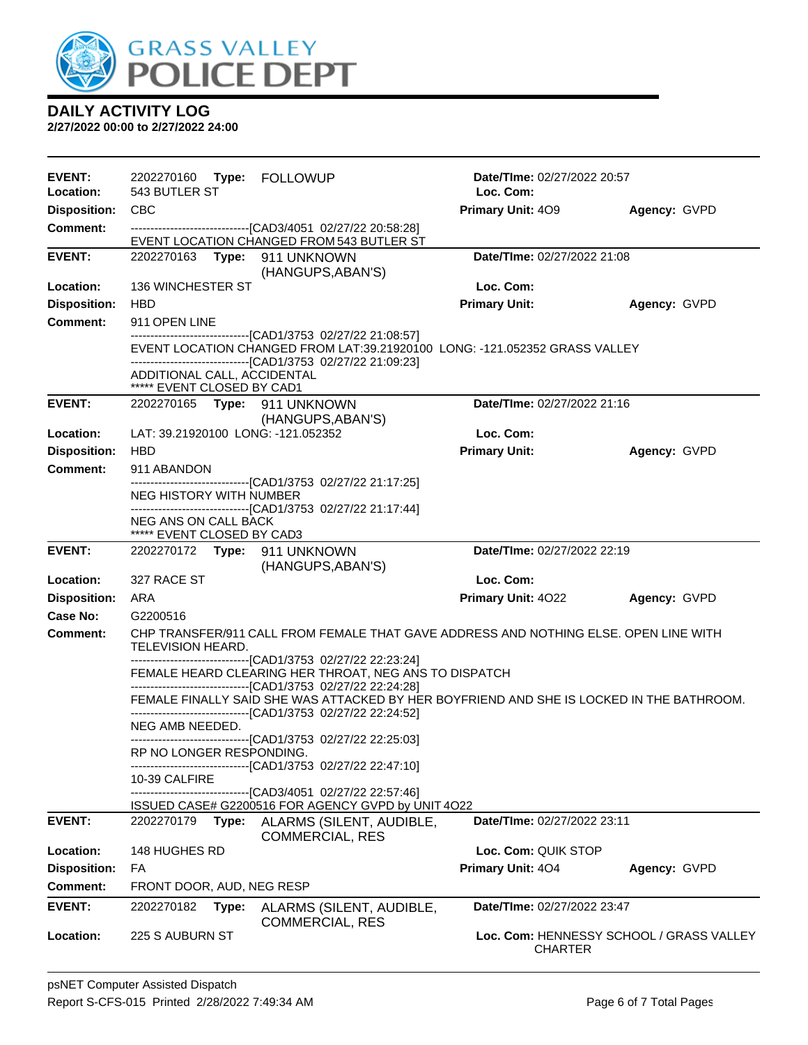

| <b>EVENT:</b><br>Location: | 2202270160<br><b>Type: FOLLOWUP</b><br>543 BUTLER ST                                                                                                                                                                                       | Date/TIme: 02/27/2022 20:57<br>Loc. Com:                   |              |  |
|----------------------------|--------------------------------------------------------------------------------------------------------------------------------------------------------------------------------------------------------------------------------------------|------------------------------------------------------------|--------------|--|
| <b>Disposition:</b>        | CBC                                                                                                                                                                                                                                        | <b>Primary Unit: 409</b>                                   | Agency: GVPD |  |
| <b>Comment:</b>            | --------------------------------[CAD3/4051 02/27/22 20:58:28]                                                                                                                                                                              |                                                            |              |  |
| <b>EVENT:</b>              | EVENT LOCATION CHANGED FROM 543 BUTLER ST<br>2202270163 Type: 911 UNKNOWN                                                                                                                                                                  | Date/TIme: 02/27/2022 21:08                                |              |  |
|                            | (HANGUPS, ABAN'S)                                                                                                                                                                                                                          |                                                            |              |  |
| Location:                  | <b>136 WINCHESTER ST</b>                                                                                                                                                                                                                   | Loc. Com:                                                  |              |  |
| <b>Disposition:</b>        | <b>HBD</b>                                                                                                                                                                                                                                 | <b>Primary Unit:</b>                                       | Agency: GVPD |  |
| Comment:                   | 911 OPEN LINE                                                                                                                                                                                                                              |                                                            |              |  |
|                            | -------------------------------[CAD1/3753 02/27/22 21:08:57]<br>EVENT LOCATION CHANGED FROM LAT:39.21920100 LONG: -121.052352 GRASS VALLEY<br>--------------------------------[CAD1/3753 02/27/22 21:09:23]<br>ADDITIONAL CALL, ACCIDENTAL |                                                            |              |  |
|                            | ***** EVENT CLOSED BY CAD1                                                                                                                                                                                                                 |                                                            |              |  |
| <b>EVENT:</b>              | 2202270165 Type: 911 UNKNOWN                                                                                                                                                                                                               | Date/TIme: 02/27/2022 21:16                                |              |  |
| Location:                  | (HANGUPS, ABAN'S)<br>LAT: 39.21920100 LONG: -121.052352                                                                                                                                                                                    | Loc. Com:                                                  |              |  |
| <b>Disposition:</b>        | <b>HBD</b>                                                                                                                                                                                                                                 | <b>Primary Unit:</b>                                       | Agency: GVPD |  |
| Comment:                   | 911 ABANDON                                                                                                                                                                                                                                |                                                            |              |  |
|                            | -------------------------------[CAD1/3753_02/27/22_21:17:25]                                                                                                                                                                               |                                                            |              |  |
|                            | <b>NEG HISTORY WITH NUMBER</b><br>------------------------------[CAD1/3753 02/27/22 21:17:44]                                                                                                                                              |                                                            |              |  |
|                            | NEG ANS ON CALL BACK<br>***** EVENT CLOSED BY CAD3                                                                                                                                                                                         |                                                            |              |  |
| <b>EVENT:</b>              | 2202270172 Type: 911 UNKNOWN<br>(HANGUPS, ABAN'S)                                                                                                                                                                                          | Date/TIme: 02/27/2022 22:19                                |              |  |
| Location:                  | 327 RACE ST                                                                                                                                                                                                                                | Loc. Com:                                                  |              |  |
| <b>Disposition:</b>        | ARA                                                                                                                                                                                                                                        | Primary Unit: 4022                                         | Agency: GVPD |  |
| Case No:                   | G2200516                                                                                                                                                                                                                                   |                                                            |              |  |
| <b>Comment:</b>            | CHP TRANSFER/911 CALL FROM FEMALE THAT GAVE ADDRESS AND NOTHING ELSE. OPEN LINE WITH<br>TELEVISION HEARD.                                                                                                                                  |                                                            |              |  |
|                            | -------------------------------[CAD1/3753_02/27/22_22:23:24]<br>FEMALE HEARD CLEARING HER THROAT, NEG ANS TO DISPATCH<br>---------------------------------[CAD1/3753_02/27/22_22:24:28]                                                    |                                                            |              |  |
|                            | FEMALE FINALLY SAID SHE WAS ATTACKED BY HER BOYFRIEND AND SHE IS LOCKED IN THE BATHROOM.<br>-------------------------------[CAD1/3753 02/27/22 22:24:52]                                                                                   |                                                            |              |  |
|                            | NEG AMB NEEDED.<br>--------------------------------[CAD1/3753 02/27/22 22:25:03]                                                                                                                                                           |                                                            |              |  |
|                            | RP NO LONGER RESPONDING.<br>-------------------------------[CAD1/3753 02/27/22 22:47:10]                                                                                                                                                   |                                                            |              |  |
|                            | 10-39 CALFIRE                                                                                                                                                                                                                              |                                                            |              |  |
|                            | -----------[CAD3/4051_02/27/22 22:57:46]<br>ISSUED CASE# G2200516 FOR AGENCY GVPD by UNIT 4O22                                                                                                                                             |                                                            |              |  |
| <b>EVENT:</b>              | 2202270179<br>Type:<br>ALARMS (SILENT, AUDIBLE,<br><b>COMMERCIAL, RES</b>                                                                                                                                                                  | Date/TIme: 02/27/2022 23:11                                |              |  |
| Location:                  | 148 HUGHES RD                                                                                                                                                                                                                              | Loc. Com: QUIK STOP                                        |              |  |
| <b>Disposition:</b>        | FA                                                                                                                                                                                                                                         | Primary Unit: 404                                          | Agency: GVPD |  |
| Comment:                   | FRONT DOOR, AUD, NEG RESP                                                                                                                                                                                                                  |                                                            |              |  |
| <b>EVENT:</b>              | 2202270182<br>Type:<br>ALARMS (SILENT, AUDIBLE,<br><b>COMMERCIAL, RES</b>                                                                                                                                                                  | Date/TIme: 02/27/2022 23:47                                |              |  |
| Location:                  | 225 S AUBURN ST                                                                                                                                                                                                                            | Loc. Com: HENNESSY SCHOOL / GRASS VALLEY<br><b>CHARTER</b> |              |  |